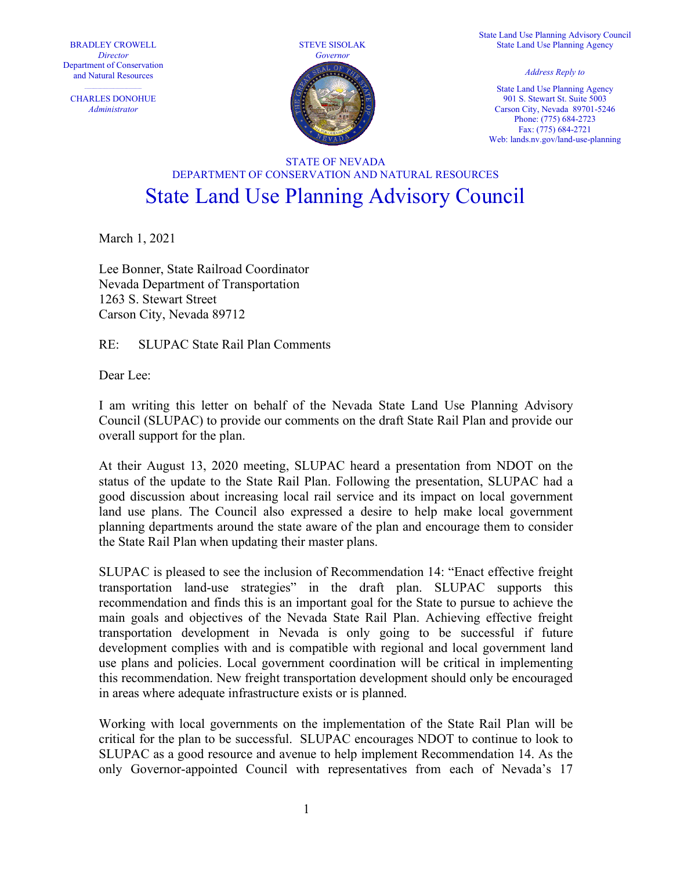BRADLEY CROWELL **Director** Department of Conservation

CHARLES DONOHUE Administrator



State Land Use Planning Advisory Council State Land Use Planning Agency

State Land Use Planning Agency 901 S. Stewart St. Suite 5003 Carson City, Nevada 89701-5246 Phone: (775) 684-2723 Fax: (775) 684-2721 Web: lands.nv.gov/land-use-planning

## STATE OF NEVADA DEPARTMENT OF CONSERVATION AND NATURAL RESOURCES State Land Use Planning Advisory Council

March 1, 2021

Lee Bonner, State Railroad Coordinator Nevada Department of Transportation 1263 S. Stewart Street Carson City, Nevada 89712

RE: SLUPAC State Rail Plan Comments

Dear Lee:

I am writing this letter on behalf of the Nevada State Land Use Planning Advisory Council (SLUPAC) to provide our comments on the draft State Rail Plan and provide our overall support for the plan.

At their August 13, 2020 meeting, SLUPAC heard a presentation from NDOT on the status of the update to the State Rail Plan. Following the presentation, SLUPAC had a good discussion about increasing local rail service and its impact on local government land use plans. The Council also expressed a desire to help make local government planning departments around the state aware of the plan and encourage them to consider the State Rail Plan when updating their master plans.

SLUPAC is pleased to see the inclusion of Recommendation 14: "Enact effective freight transportation land-use strategies" in the draft plan. SLUPAC supports this recommendation and finds this is an important goal for the State to pursue to achieve the main goals and objectives of the Nevada State Rail Plan. Achieving effective freight transportation development in Nevada is only going to be successful if future development complies with and is compatible with regional and local government land use plans and policies. Local government coordination will be critical in implementing this recommendation. New freight transportation development should only be encouraged in areas where adequate infrastructure exists or is planned.

Working with local governments on the implementation of the State Rail Plan will be critical for the plan to be successful. SLUPAC encourages NDOT to continue to look to SLUPAC as a good resource and avenue to help implement Recommendation 14. As the only Governor-appointed Council with representatives from each of Nevada's 17